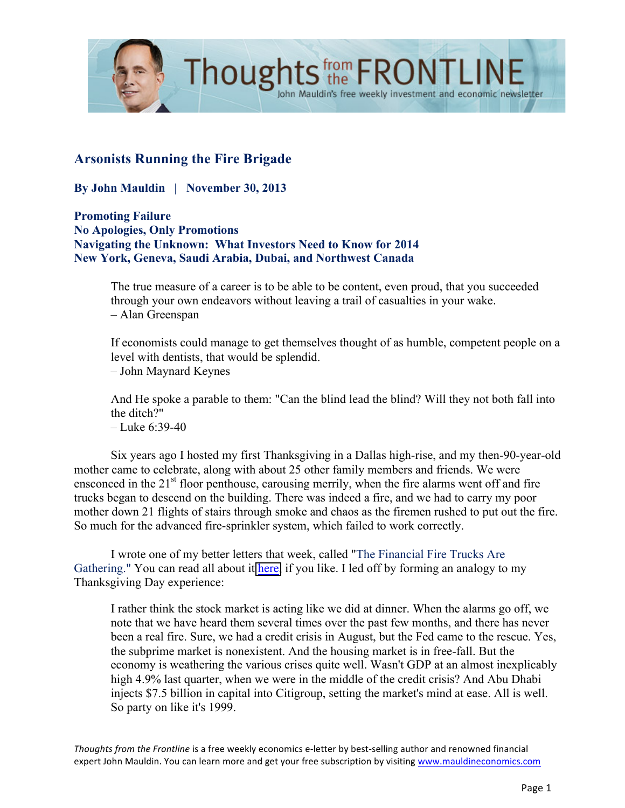

# **Arsonists Running the Fire Brigade**

**By John Mauldin | November 30, 2013**

**Promoting Failure No Apologies, Only Promotions Navigating the Unknown: What Investors Need to Know for 2014 New York, Geneva, Saudi Arabia, Dubai, and Northwest Canada**

> The true measure of a career is to be able to be content, even proud, that you succeeded through your own endeavors without leaving a trail of casualties in your wake. – Alan Greenspan

John Mauldin's free weekly investment and economic newsletter

If economists could manage to get themselves thought of as humble, competent people on a level with dentists, that would be splendid.

– John Maynard Keynes

And He spoke a parable to them: "Can the blind lead the blind? Will they not both fall into the ditch?" – Luke 6:39-40

Six years ago I hosted my first Thanksgiving in a Dallas high-rise, and my then-90-year-old mother came to celebrate, along with about 25 other family members and friends. We were ensconced in the 21<sup>st</sup> floor penthouse, carousing merrily, when the fire alarms went off and fire trucks began to descend on the building. There was indeed a fire, and we had to carry my poor mother down 21 flights of stairs through smoke and chaos as the firemen rushed to put out the fire. So much for the advanced fire-sprinkler system, which failed to work correctly.

I wrote one of my better letters that week, called "The Financial Fire Trucks Are Gathering." You can read all about it [here,](http://www.mauldineconomics.com/frontlinethoughts/the-financial-fire-trucks-are-gathering-mwo113007) if you like. I led off by forming an analogy to my Thanksgiving Day experience:

I rather think the stock market is acting like we did at dinner. When the alarms go off, we note that we have heard them several times over the past few months, and there has never been a real fire. Sure, we had a credit crisis in August, but the Fed came to the rescue. Yes, the subprime market is nonexistent. And the housing market is in free-fall. But the economy is weathering the various crises quite well. Wasn't GDP at an almost inexplicably high 4.9% last quarter, when we were in the middle of the credit crisis? And Abu Dhabi injects \$7.5 billion in capital into Citigroup, setting the market's mind at ease. All is well. So party on like it's 1999.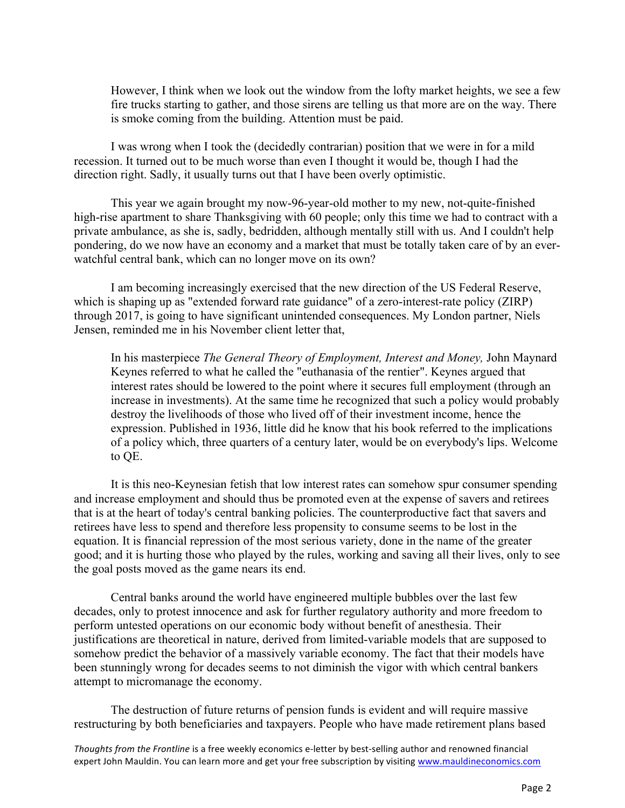However, I think when we look out the window from the lofty market heights, we see a few fire trucks starting to gather, and those sirens are telling us that more are on the way. There is smoke coming from the building. Attention must be paid.

I was wrong when I took the (decidedly contrarian) position that we were in for a mild recession. It turned out to be much worse than even I thought it would be, though I had the direction right. Sadly, it usually turns out that I have been overly optimistic.

This year we again brought my now-96-year-old mother to my new, not-quite-finished high-rise apartment to share Thanksgiving with 60 people; only this time we had to contract with a private ambulance, as she is, sadly, bedridden, although mentally still with us. And I couldn't help pondering, do we now have an economy and a market that must be totally taken care of by an everwatchful central bank, which can no longer move on its own?

I am becoming increasingly exercised that the new direction of the US Federal Reserve, which is shaping up as "extended forward rate guidance" of a zero-interest-rate policy (ZIRP) through 2017, is going to have significant unintended consequences. My London partner, Niels Jensen, reminded me in his November client letter that,

In his masterpiece *The General Theory of Employment, Interest and Money,* John Maynard Keynes referred to what he called the "euthanasia of the rentier". Keynes argued that interest rates should be lowered to the point where it secures full employment (through an increase in investments). At the same time he recognized that such a policy would probably destroy the livelihoods of those who lived off of their investment income, hence the expression. Published in 1936, little did he know that his book referred to the implications of a policy which, three quarters of a century later, would be on everybody's lips. Welcome to QE.

It is this neo-Keynesian fetish that low interest rates can somehow spur consumer spending and increase employment and should thus be promoted even at the expense of savers and retirees that is at the heart of today's central banking policies. The counterproductive fact that savers and retirees have less to spend and therefore less propensity to consume seems to be lost in the equation. It is financial repression of the most serious variety, done in the name of the greater good; and it is hurting those who played by the rules, working and saving all their lives, only to see the goal posts moved as the game nears its end.

Central banks around the world have engineered multiple bubbles over the last few decades, only to protest innocence and ask for further regulatory authority and more freedom to perform untested operations on our economic body without benefit of anesthesia. Their justifications are theoretical in nature, derived from limited-variable models that are supposed to somehow predict the behavior of a massively variable economy. The fact that their models have been stunningly wrong for decades seems to not diminish the vigor with which central bankers attempt to micromanage the economy.

The destruction of future returns of pension funds is evident and will require massive restructuring by both beneficiaries and taxpayers. People who have made retirement plans based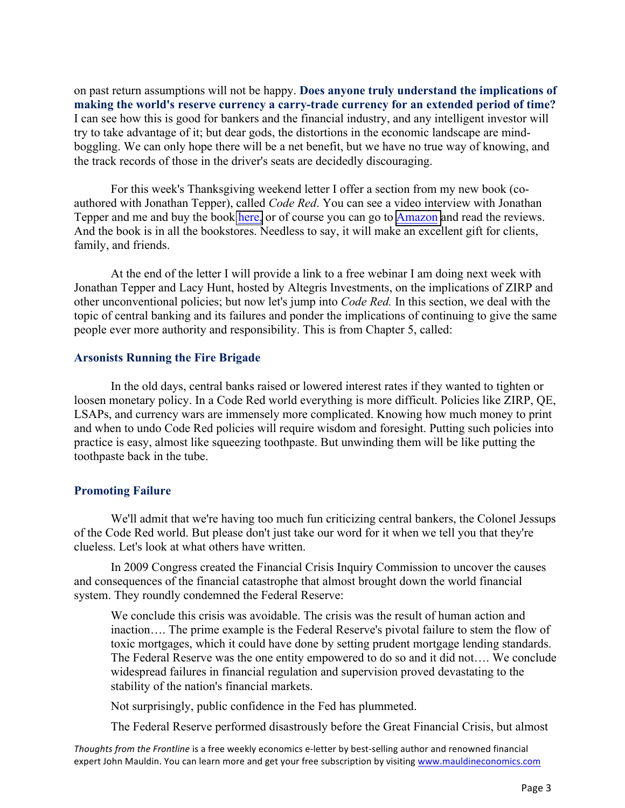on past return assumptions will not be happy. **Does anyone truly understand the implications of making the world's reserve currency a carry-trade currency for an extended period of time?** I can see how this is good for bankers and the financial industry, and any intelligent investor will try to take advantage of it; but dear gods, the distortions in the economic landscape are mindboggling. We can only hope there will be a net benefit, but we have no true way of knowing, and the track records of those in the driver's seats are decidedly discouraging.

For this week's Thanksgiving weekend letter I offer a section from my new book (coauthored with Jonathan Tepper), called *Code Red*. You can see a video interview with Jonathan Tepper and me and buy the book [here,](http://www.mauldineconomics.com/go/vugur-2/OTB) or of course you can go to [Amazon](http://www.amazon.com/Code-Red-Protect-Savings-Coming/dp/1118783727) and read the reviews. And the book is in all the bookstores. Needless to say, it will make an excellent gift for clients, family, and friends.

At the end of the letter I will provide a link to a free webinar I am doing next week with Jonathan Tepper and Lacy Hunt, hosted by Altegris Investments, on the implications of ZIRP and other unconventional policies; but now let's jump into *Code Red.* In this section, we deal with the topic of central banking and its failures and ponder the implications of continuing to give the same people ever more authority and responsibility. This is from Chapter 5, called:

#### **Arsonists Running the Fire Brigade**

In the old days, central banks raised or lowered interest rates if they wanted to tighten or loosen monetary policy. In a Code Red world everything is more difficult. Policies like ZIRP, QE, LSAPs, and currency wars are immensely more complicated. Knowing how much money to print and when to undo Code Red policies will require wisdom and foresight. Putting such policies into practice is easy, almost like squeezing toothpaste. But unwinding them will be like putting the toothpaste back in the tube.

## **Promoting Failure**

We'll admit that we're having too much fun criticizing central bankers, the Colonel Jessups of the Code Red world. But please don't just take our word for it when we tell you that they're clueless. Let's look at what others have written.

In 2009 Congress created the Financial Crisis Inquiry Commission to uncover the causes and consequences of the financial catastrophe that almost brought down the world financial system. They roundly condemned the Federal Reserve:

We conclude this crisis was avoidable. The crisis was the result of human action and inaction…. The prime example is the Federal Reserve's pivotal failure to stem the flow of toxic mortgages, which it could have done by setting prudent mortgage lending standards. The Federal Reserve was the one entity empowered to do so and it did not…. We conclude widespread failures in financial regulation and supervision proved devastating to the stability of the nation's financial markets.

Not surprisingly, public confidence in the Fed has plummeted.

The Federal Reserve performed disastrously before the Great Financial Crisis, but almost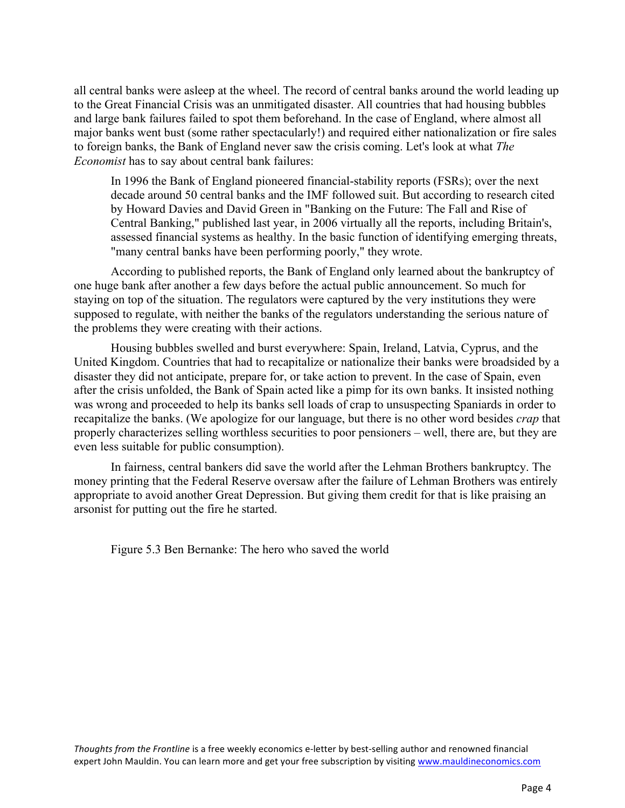all central banks were asleep at the wheel. The record of central banks around the world leading up to the Great Financial Crisis was an unmitigated disaster. All countries that had housing bubbles and large bank failures failed to spot them beforehand. In the case of England, where almost all major banks went bust (some rather spectacularly!) and required either nationalization or fire sales to foreign banks, the Bank of England never saw the crisis coming. Let's look at what *The Economist* has to say about central bank failures:

In 1996 the Bank of England pioneered financial-stability reports (FSRs); over the next decade around 50 central banks and the IMF followed suit. But according to research cited by Howard Davies and David Green in "Banking on the Future: The Fall and Rise of Central Banking," published last year, in 2006 virtually all the reports, including Britain's, assessed financial systems as healthy. In the basic function of identifying emerging threats, "many central banks have been performing poorly," they wrote.

According to published reports, the Bank of England only learned about the bankruptcy of one huge bank after another a few days before the actual public announcement. So much for staying on top of the situation. The regulators were captured by the very institutions they were supposed to regulate, with neither the banks of the regulators understanding the serious nature of the problems they were creating with their actions.

Housing bubbles swelled and burst everywhere: Spain, Ireland, Latvia, Cyprus, and the United Kingdom. Countries that had to recapitalize or nationalize their banks were broadsided by a disaster they did not anticipate, prepare for, or take action to prevent. In the case of Spain, even after the crisis unfolded, the Bank of Spain acted like a pimp for its own banks. It insisted nothing was wrong and proceeded to help its banks sell loads of crap to unsuspecting Spaniards in order to recapitalize the banks. (We apologize for our language, but there is no other word besides *crap* that properly characterizes selling worthless securities to poor pensioners – well, there are, but they are even less suitable for public consumption).

In fairness, central bankers did save the world after the Lehman Brothers bankruptcy. The money printing that the Federal Reserve oversaw after the failure of Lehman Brothers was entirely appropriate to avoid another Great Depression. But giving them credit for that is like praising an arsonist for putting out the fire he started.

Figure 5.3 Ben Bernanke: The hero who saved the world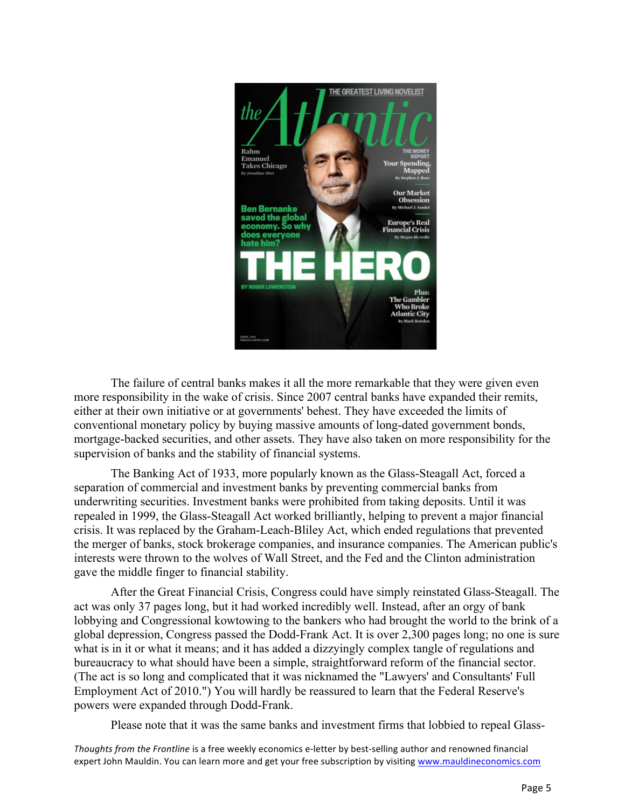

The failure of central banks makes it all the more remarkable that they were given even more responsibility in the wake of crisis. Since 2007 central banks have expanded their remits, either at their own initiative or at governments' behest. They have exceeded the limits of conventional monetary policy by buying massive amounts of long-dated government bonds, mortgage-backed securities, and other assets. They have also taken on more responsibility for the supervision of banks and the stability of financial systems.

The Banking Act of 1933, more popularly known as the Glass-Steagall Act, forced a separation of commercial and investment banks by preventing commercial banks from underwriting securities. Investment banks were prohibited from taking deposits. Until it was repealed in 1999, the Glass-Steagall Act worked brilliantly, helping to prevent a major financial crisis. It was replaced by the Graham-Leach-Bliley Act, which ended regulations that prevented the merger of banks, stock brokerage companies, and insurance companies. The American public's interests were thrown to the wolves of Wall Street, and the Fed and the Clinton administration gave the middle finger to financial stability.

After the Great Financial Crisis, Congress could have simply reinstated Glass-Steagall. The act was only 37 pages long, but it had worked incredibly well. Instead, after an orgy of bank lobbying and Congressional kowtowing to the bankers who had brought the world to the brink of a global depression, Congress passed the Dodd-Frank Act. It is over 2,300 pages long; no one is sure what is in it or what it means; and it has added a dizzyingly complex tangle of regulations and bureaucracy to what should have been a simple, straightforward reform of the financial sector. (The act is so long and complicated that it was nicknamed the "Lawyers' and Consultants' Full Employment Act of 2010.") You will hardly be reassured to learn that the Federal Reserve's powers were expanded through Dodd-Frank.

Please note that it was the same banks and investment firms that lobbied to repeal Glass-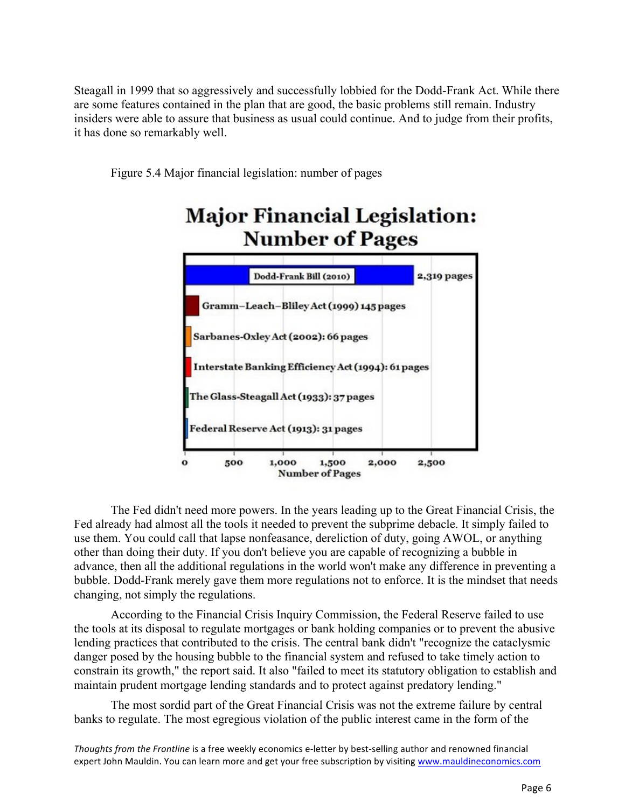Steagall in 1999 that so aggressively and successfully lobbied for the Dodd-Frank Act. While there are some features contained in the plan that are good, the basic problems still remain. Industry insiders were able to assure that business as usual could continue. And to judge from their profits, it has done so remarkably well.

Figure 5.4 Major financial legislation: number of pages



The Fed didn't need more powers. In the years leading up to the Great Financial Crisis, the Fed already had almost all the tools it needed to prevent the subprime debacle. It simply failed to use them. You could call that lapse nonfeasance, dereliction of duty, going AWOL, or anything other than doing their duty. If you don't believe you are capable of recognizing a bubble in advance, then all the additional regulations in the world won't make any difference in preventing a bubble. Dodd-Frank merely gave them more regulations not to enforce. It is the mindset that needs changing, not simply the regulations.

According to the Financial Crisis Inquiry Commission, the Federal Reserve failed to use the tools at its disposal to regulate mortgages or bank holding companies or to prevent the abusive lending practices that contributed to the crisis. The central bank didn't "recognize the cataclysmic danger posed by the housing bubble to the financial system and refused to take timely action to constrain its growth," the report said. It also "failed to meet its statutory obligation to establish and maintain prudent mortgage lending standards and to protect against predatory lending."

The most sordid part of the Great Financial Crisis was not the extreme failure by central banks to regulate. The most egregious violation of the public interest came in the form of the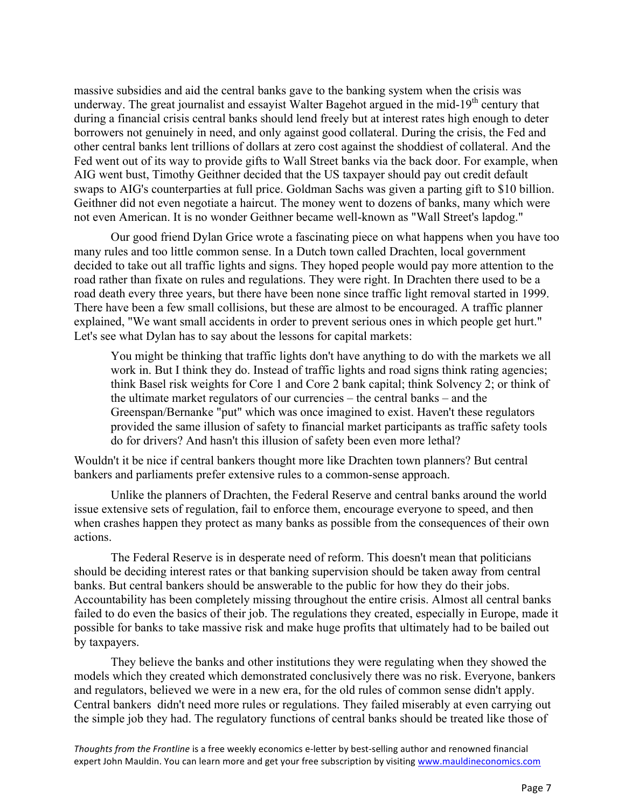massive subsidies and aid the central banks gave to the banking system when the crisis was underway. The great journalist and essayist Walter Bagehot argued in the mid-19<sup>th</sup> century that during a financial crisis central banks should lend freely but at interest rates high enough to deter borrowers not genuinely in need, and only against good collateral. During the crisis, the Fed and other central banks lent trillions of dollars at zero cost against the shoddiest of collateral. And the Fed went out of its way to provide gifts to Wall Street banks via the back door. For example, when AIG went bust, Timothy Geithner decided that the US taxpayer should pay out credit default swaps to AIG's counterparties at full price. Goldman Sachs was given a parting gift to \$10 billion. Geithner did not even negotiate a haircut. The money went to dozens of banks, many which were not even American. It is no wonder Geithner became well-known as "Wall Street's lapdog."

Our good friend Dylan Grice wrote a fascinating piece on what happens when you have too many rules and too little common sense. In a Dutch town called Drachten, local government decided to take out all traffic lights and signs. They hoped people would pay more attention to the road rather than fixate on rules and regulations. They were right. In Drachten there used to be a road death every three years, but there have been none since traffic light removal started in 1999. There have been a few small collisions, but these are almost to be encouraged. A traffic planner explained, "We want small accidents in order to prevent serious ones in which people get hurt." Let's see what Dylan has to say about the lessons for capital markets:

You might be thinking that traffic lights don't have anything to do with the markets we all work in. But I think they do. Instead of traffic lights and road signs think rating agencies; think Basel risk weights for Core 1 and Core 2 bank capital; think Solvency 2; or think of the ultimate market regulators of our currencies – the central banks – and the Greenspan/Bernanke "put" which was once imagined to exist. Haven't these regulators provided the same illusion of safety to financial market participants as traffic safety tools do for drivers? And hasn't this illusion of safety been even more lethal?

Wouldn't it be nice if central bankers thought more like Drachten town planners? But central bankers and parliaments prefer extensive rules to a common-sense approach.

Unlike the planners of Drachten, the Federal Reserve and central banks around the world issue extensive sets of regulation, fail to enforce them, encourage everyone to speed, and then when crashes happen they protect as many banks as possible from the consequences of their own actions.

The Federal Reserve is in desperate need of reform. This doesn't mean that politicians should be deciding interest rates or that banking supervision should be taken away from central banks. But central bankers should be answerable to the public for how they do their jobs. Accountability has been completely missing throughout the entire crisis. Almost all central banks failed to do even the basics of their job. The regulations they created, especially in Europe, made it possible for banks to take massive risk and make huge profits that ultimately had to be bailed out by taxpayers.

They believe the banks and other institutions they were regulating when they showed the models which they created which demonstrated conclusively there was no risk. Everyone, bankers and regulators, believed we were in a new era, for the old rules of common sense didn't apply. Central bankers didn't need more rules or regulations. They failed miserably at even carrying out the simple job they had. The regulatory functions of central banks should be treated like those of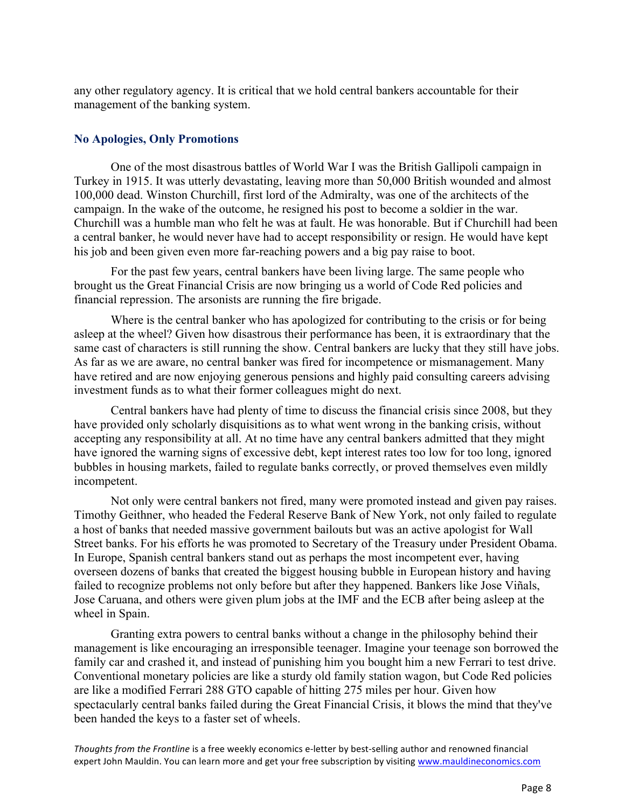any other regulatory agency. It is critical that we hold central bankers accountable for their management of the banking system.

### **No Apologies, Only Promotions**

One of the most disastrous battles of World War I was the British Gallipoli campaign in Turkey in 1915. It was utterly devastating, leaving more than 50,000 British wounded and almost 100,000 dead. Winston Churchill, first lord of the Admiralty, was one of the architects of the campaign. In the wake of the outcome, he resigned his post to become a soldier in the war. Churchill was a humble man who felt he was at fault. He was honorable. But if Churchill had been a central banker, he would never have had to accept responsibility or resign. He would have kept his job and been given even more far-reaching powers and a big pay raise to boot.

For the past few years, central bankers have been living large. The same people who brought us the Great Financial Crisis are now bringing us a world of Code Red policies and financial repression. The arsonists are running the fire brigade.

Where is the central banker who has apologized for contributing to the crisis or for being asleep at the wheel? Given how disastrous their performance has been, it is extraordinary that the same cast of characters is still running the show. Central bankers are lucky that they still have jobs. As far as we are aware, no central banker was fired for incompetence or mismanagement. Many have retired and are now enjoying generous pensions and highly paid consulting careers advising investment funds as to what their former colleagues might do next.

Central bankers have had plenty of time to discuss the financial crisis since 2008, but they have provided only scholarly disquisitions as to what went wrong in the banking crisis, without accepting any responsibility at all. At no time have any central bankers admitted that they might have ignored the warning signs of excessive debt, kept interest rates too low for too long, ignored bubbles in housing markets, failed to regulate banks correctly, or proved themselves even mildly incompetent.

Not only were central bankers not fired, many were promoted instead and given pay raises. Timothy Geithner, who headed the Federal Reserve Bank of New York, not only failed to regulate a host of banks that needed massive government bailouts but was an active apologist for Wall Street banks. For his efforts he was promoted to Secretary of the Treasury under President Obama. In Europe, Spanish central bankers stand out as perhaps the most incompetent ever, having overseen dozens of banks that created the biggest housing bubble in European history and having failed to recognize problems not only before but after they happened. Bankers like Jose Viñals, Jose Caruana, and others were given plum jobs at the IMF and the ECB after being asleep at the wheel in Spain.

Granting extra powers to central banks without a change in the philosophy behind their management is like encouraging an irresponsible teenager. Imagine your teenage son borrowed the family car and crashed it, and instead of punishing him you bought him a new Ferrari to test drive. Conventional monetary policies are like a sturdy old family station wagon, but Code Red policies are like a modified Ferrari 288 GTO capable of hitting 275 miles per hour. Given how spectacularly central banks failed during the Great Financial Crisis, it blows the mind that they've been handed the keys to a faster set of wheels.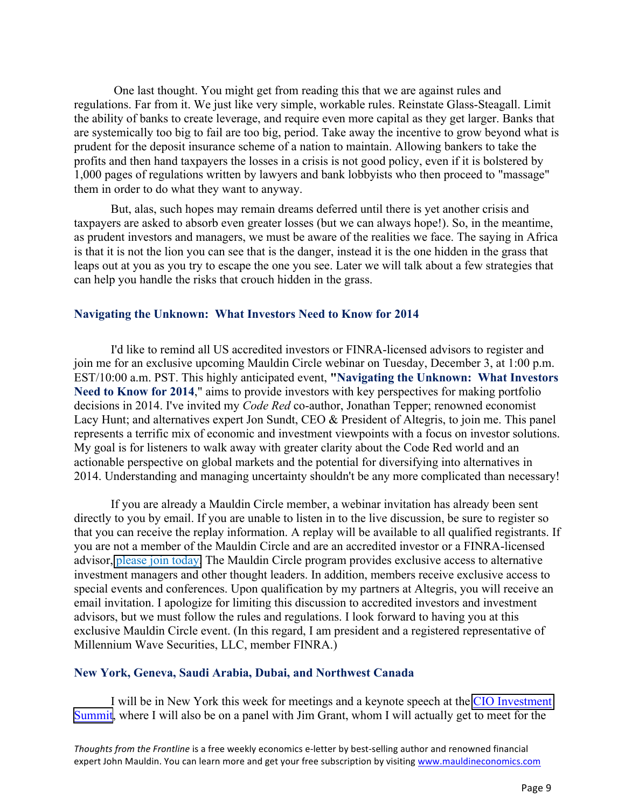One last thought. You might get from reading this that we are against rules and regulations. Far from it. We just like very simple, workable rules. Reinstate Glass-Steagall. Limit the ability of banks to create leverage, and require even more capital as they get larger. Banks that are systemically too big to fail are too big, period. Take away the incentive to grow beyond what is prudent for the deposit insurance scheme of a nation to maintain. Allowing bankers to take the profits and then hand taxpayers the losses in a crisis is not good policy, even if it is bolstered by 1,000 pages of regulations written by lawyers and bank lobbyists who then proceed to "massage" them in order to do what they want to anyway.

But, alas, such hopes may remain dreams deferred until there is yet another crisis and taxpayers are asked to absorb even greater losses (but we can always hope!). So, in the meantime, as prudent investors and managers, we must be aware of the realities we face. The saying in Africa is that it is not the lion you can see that is the danger, instead it is the one hidden in the grass that leaps out at you as you try to escape the one you see. Later we will talk about a few strategies that can help you handle the risks that crouch hidden in the grass.

#### **Navigating the Unknown: What Investors Need to Know for 2014**

I'd like to remind all US accredited investors or FINRA-licensed advisors to register and join me for an exclusive upcoming Mauldin Circle webinar on Tuesday, December 3, at 1:00 p.m. EST/10:00 a.m. PST. This highly anticipated event, **"Navigating the Unknown: What Investors Need to Know for 2014**," aims to provide investors with key perspectives for making portfolio decisions in 2014. I've invited my *Code Red* co-author, Jonathan Tepper; renowned economist Lacy Hunt; and alternatives expert Jon Sundt, CEO & President of Altegris, to join me. This panel represents a terrific mix of economic and investment viewpoints with a focus on investor solutions. My goal is for listeners to walk away with greater clarity about the Code Red world and an actionable perspective on global markets and the potential for diversifying into alternatives in 2014. Understanding and managing uncertainty shouldn't be any more complicated than necessary!

If you are already a Mauldin Circle member, a webinar invitation has already been sent directly to you by email. If you are unable to listen in to the live discussion, be sure to register so that you can receive the replay information. A replay will be available to all qualified registrants. If you are not a member of the Mauldin Circle and are an accredited investor or a FINRA-licensed advisor, [please join today.](http://www.mauldincircle.com) The Mauldin Circle program provides exclusive access to alternative investment managers and other thought leaders. In addition, members receive exclusive access to special events and conferences. Upon qualification by my partners at Altegris, you will receive an email invitation. I apologize for limiting this discussion to accredited investors and investment advisors, but we must follow the rules and regulations. I look forward to having you at this exclusive Mauldin Circle event. (In this regard, I am president and a registered representative of Millennium Wave Securities, LLC, member FINRA.)

#### **New York, Geneva, Saudi Arabia, Dubai, and Northwest Canada**

I will be in New York this week for meetings and a keynote speech at the [CIO Investment](http://www.ai-cio.com/event/CIOSNY2013/)  [Summit,](http://www.ai-cio.com/event/CIOSNY2013/) where I will also be on a panel with Jim Grant, whom I will actually get to meet for the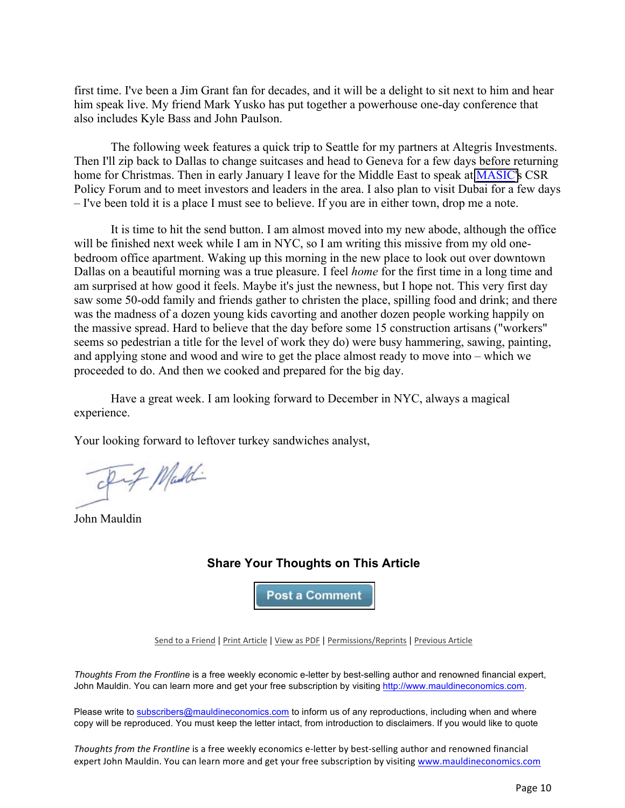first time. I've been a Jim Grant fan for decades, and it will be a delight to sit next to him and hear him speak live. My friend Mark Yusko has put together a powerhouse one-day conference that also includes Kyle Bass and John Paulson.

The following week features a quick trip to Seattle for my partners at Altegris Investments. Then I'll zip back to Dallas to change suitcases and head to Geneva for a few days before returning home for Christmas. Then in early January I leave for the Middle East to speak at [MASIC's](http://www.masic.com.sa/) CSR Policy Forum and to meet investors and leaders in the area. I also plan to visit Dubai for a few days – I've been told it is a place I must see to believe. If you are in either town, drop me a note.

It is time to hit the send button. I am almost moved into my new abode, although the office will be finished next week while I am in NYC, so I am writing this missive from my old onebedroom office apartment. Waking up this morning in the new place to look out over downtown Dallas on a beautiful morning was a true pleasure. I feel *home* for the first time in a long time and am surprised at how good it feels. Maybe it's just the newness, but I hope not. This very first day saw some 50-odd family and friends gather to christen the place, spilling food and drink; and there was the madness of a dozen young kids cavorting and another dozen people working happily on the massive spread. Hard to believe that the day before some 15 construction artisans ("workers" seems so pedestrian a title for the level of work they do) were busy hammering, sawing, painting, and applying stone and wood and wire to get the place almost ready to move into – which we proceeded to do. And then we cooked and prepared for the big day.

Have a great week. I am looking forward to December in NYC, always a magical experience.

Your looking forward to leftover turkey sandwiches analyst,

- p-7 Maddi

John Mauldin

# **Share Your Thoughts on This Article**

**Post a Comment** 

Send to a Friend | Print Article | View as PDF | Permissions/Reprints | Previous Article

*Thoughts From the Frontline* is a free weekly economic e-letter by best-selling author and renowned financial expert, John Mauldin. You can learn more and get your free subscription by visiting http://www.mauldineconomics.com.

Please write to subscribers@mauldineconomics.com to inform us of any reproductions, including when and where copy will be reproduced. You must keep the letter intact, from introduction to disclaimers. If you would like to quote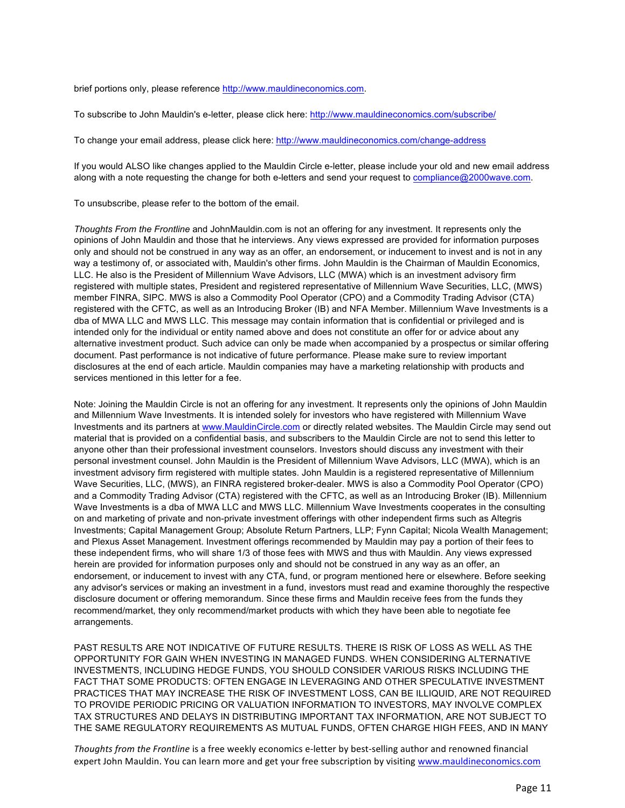brief portions only, please reference http://www.mauldineconomics.com.

To subscribe to John Mauldin's e-letter, please click here: http://www.mauldineconomics.com/subscribe/

To change your email address, please click here: http://www.mauldineconomics.com/change-address

If you would ALSO like changes applied to the Mauldin Circle e-letter, please include your old and new email address along with a note requesting the change for both e-letters and send your request to compliance@2000wave.com.

To unsubscribe, please refer to the bottom of the email.

*Thoughts From the Frontline* and JohnMauldin.com is not an offering for any investment. It represents only the opinions of John Mauldin and those that he interviews. Any views expressed are provided for information purposes only and should not be construed in any way as an offer, an endorsement, or inducement to invest and is not in any way a testimony of, or associated with, Mauldin's other firms. John Mauldin is the Chairman of Mauldin Economics, LLC. He also is the President of Millennium Wave Advisors, LLC (MWA) which is an investment advisory firm registered with multiple states, President and registered representative of Millennium Wave Securities, LLC, (MWS) member FINRA, SIPC. MWS is also a Commodity Pool Operator (CPO) and a Commodity Trading Advisor (CTA) registered with the CFTC, as well as an Introducing Broker (IB) and NFA Member. Millennium Wave Investments is a dba of MWA LLC and MWS LLC. This message may contain information that is confidential or privileged and is intended only for the individual or entity named above and does not constitute an offer for or advice about any alternative investment product. Such advice can only be made when accompanied by a prospectus or similar offering document. Past performance is not indicative of future performance. Please make sure to review important disclosures at the end of each article. Mauldin companies may have a marketing relationship with products and services mentioned in this letter for a fee.

Note: Joining the Mauldin Circle is not an offering for any investment. It represents only the opinions of John Mauldin and Millennium Wave Investments. It is intended solely for investors who have registered with Millennium Wave Investments and its partners at www.MauldinCircle.com or directly related websites. The Mauldin Circle may send out material that is provided on a confidential basis, and subscribers to the Mauldin Circle are not to send this letter to anyone other than their professional investment counselors. Investors should discuss any investment with their personal investment counsel. John Mauldin is the President of Millennium Wave Advisors, LLC (MWA), which is an investment advisory firm registered with multiple states. John Mauldin is a registered representative of Millennium Wave Securities, LLC, (MWS), an FINRA registered broker-dealer. MWS is also a Commodity Pool Operator (CPO) and a Commodity Trading Advisor (CTA) registered with the CFTC, as well as an Introducing Broker (IB). Millennium Wave Investments is a dba of MWA LLC and MWS LLC. Millennium Wave Investments cooperates in the consulting on and marketing of private and non-private investment offerings with other independent firms such as Altegris Investments; Capital Management Group; Absolute Return Partners, LLP; Fynn Capital; Nicola Wealth Management; and Plexus Asset Management. Investment offerings recommended by Mauldin may pay a portion of their fees to these independent firms, who will share 1/3 of those fees with MWS and thus with Mauldin. Any views expressed herein are provided for information purposes only and should not be construed in any way as an offer, an endorsement, or inducement to invest with any CTA, fund, or program mentioned here or elsewhere. Before seeking any advisor's services or making an investment in a fund, investors must read and examine thoroughly the respective disclosure document or offering memorandum. Since these firms and Mauldin receive fees from the funds they recommend/market, they only recommend/market products with which they have been able to negotiate fee arrangements.

PAST RESULTS ARE NOT INDICATIVE OF FUTURE RESULTS. THERE IS RISK OF LOSS AS WELL AS THE OPPORTUNITY FOR GAIN WHEN INVESTING IN MANAGED FUNDS. WHEN CONSIDERING ALTERNATIVE INVESTMENTS, INCLUDING HEDGE FUNDS, YOU SHOULD CONSIDER VARIOUS RISKS INCLUDING THE FACT THAT SOME PRODUCTS: OFTEN ENGAGE IN LEVERAGING AND OTHER SPECULATIVE INVESTMENT PRACTICES THAT MAY INCREASE THE RISK OF INVESTMENT LOSS, CAN BE ILLIQUID, ARE NOT REQUIRED TO PROVIDE PERIODIC PRICING OR VALUATION INFORMATION TO INVESTORS, MAY INVOLVE COMPLEX TAX STRUCTURES AND DELAYS IN DISTRIBUTING IMPORTANT TAX INFORMATION, ARE NOT SUBJECT TO THE SAME REGULATORY REQUIREMENTS AS MUTUAL FUNDS, OFTEN CHARGE HIGH FEES, AND IN MANY